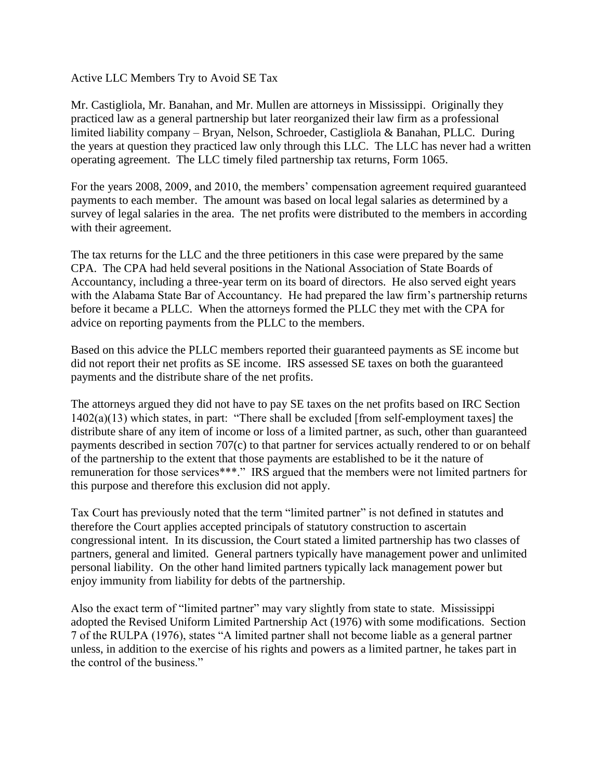Active LLC Members Try to Avoid SE Tax

Mr. Castigliola, Mr. Banahan, and Mr. Mullen are attorneys in Mississippi. Originally they practiced law as a general partnership but later reorganized their law firm as a professional limited liability company – Bryan, Nelson, Schroeder, Castigliola & Banahan, PLLC. During the years at question they practiced law only through this LLC. The LLC has never had a written operating agreement. The LLC timely filed partnership tax returns, Form 1065.

For the years 2008, 2009, and 2010, the members' compensation agreement required guaranteed payments to each member. The amount was based on local legal salaries as determined by a survey of legal salaries in the area. The net profits were distributed to the members in according with their agreement.

The tax returns for the LLC and the three petitioners in this case were prepared by the same CPA. The CPA had held several positions in the National Association of State Boards of Accountancy, including a three-year term on its board of directors. He also served eight years with the Alabama State Bar of Accountancy. He had prepared the law firm's partnership returns before it became a PLLC. When the attorneys formed the PLLC they met with the CPA for advice on reporting payments from the PLLC to the members.

Based on this advice the PLLC members reported their guaranteed payments as SE income but did not report their net profits as SE income. IRS assessed SE taxes on both the guaranteed payments and the distribute share of the net profits.

The attorneys argued they did not have to pay SE taxes on the net profits based on IRC Section 1402(a)(13) which states, in part: "There shall be excluded [from self-employment taxes] the distribute share of any item of income or loss of a limited partner, as such, other than guaranteed payments described in section 707(c) to that partner for services actually rendered to or on behalf of the partnership to the extent that those payments are established to be it the nature of remuneration for those services\*\*\*." IRS argued that the members were not limited partners for this purpose and therefore this exclusion did not apply.

Tax Court has previously noted that the term "limited partner" is not defined in statutes and therefore the Court applies accepted principals of statutory construction to ascertain congressional intent. In its discussion, the Court stated a limited partnership has two classes of partners, general and limited. General partners typically have management power and unlimited personal liability. On the other hand limited partners typically lack management power but enjoy immunity from liability for debts of the partnership.

Also the exact term of "limited partner" may vary slightly from state to state. Mississippi adopted the Revised Uniform Limited Partnership Act (1976) with some modifications. Section 7 of the RULPA (1976), states "A limited partner shall not become liable as a general partner unless, in addition to the exercise of his rights and powers as a limited partner, he takes part in the control of the business."